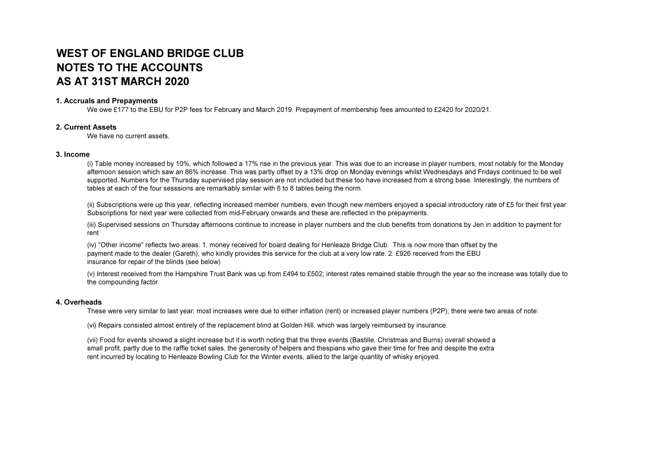# WEST OF ENGLAND BRIDGE CLUB NOTES TO THE ACCOUNTSAS AT 31ST MARCH 2020

#### 1. Accruals and Prepayments

We owe £177 to the EBU for P2P fees for February and March 2019. Prepayment of membership fees amounted to £2420 for 2020/21.

#### 2. Current Assets

We have no current assets.

#### 3. Income

 (i) Table money increased by 10%, which followed a 17% rise in the previous year. This was due to an increase in player numbers, most notably for the Monday afternoon session which saw an 86% increase. This was partly offset by a 13% drop on Monday evenings whilst Wednesdays and Fridays continued to be well supported. Numbers for the Thursday supervised play session are not included but these too have increased from a strong base. Interestingly, the numbers of tables at each of the four sesssions are remarkably similar with 6 to 8 tables being the norm.

(ii) Subscriptions were up this year, reflecting increased member numbers, even though new members enjoyed a special introductory rate of £5 for their first year. Subscriptions for next year were collected from mid-February onwards and these are reflected in the prepayments.

(iii) Supervised sessions on Thursday afternoons continue to increase in player numbers and the club benefits from donations by Jen in addition to payment for rent

(iv) "Other income" reflects two areas: 1. money received for board dealing for Henleaze Bridge Club. This is now more than offset by the payment made to the dealer (Gareth), who kindly provides this service for the club at a very low rate. 2. £926 received from the EBU insurance for repair of the blinds (see below)

(v) Interest received from the Hampshire Trust Bank was up from £494 to £502; interest rates remained stable through the year so the increase was totally due to the compounding factor.

#### 4. Overheads

These were very similar to last year; most increases were due to either inflation (rent) or increased player numbers (P2P); there were two areas of note:

(vi) Repairs consisted almost entirely of the replacement blind at Golden Hill, which was largely reimbursed by insurance.

(vii) Food for events showed a slight increase but it is worth noting that the three events (Bastille, Christmas and Burns) overall showed a small profit, partly due to the raffle ticket sales, the generosity of helpers and thespians who gave their time for free and despite the extra rent incurred by locating to Henleaze Bowling Club for the Winter events, allied to the large quantity of whisky enjoyed.